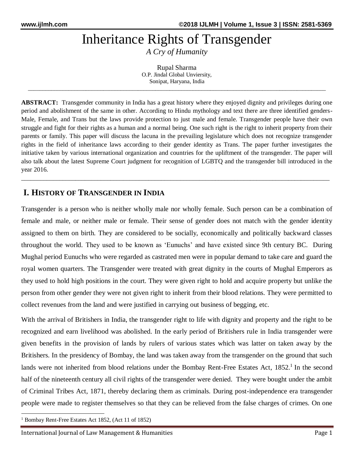# Inheritance Rights of Transgender

*A Cry of Humanity*

Rupal Sharma O.P. Jindal Global Unviersity, Sonipat, Haryana, India

\_\_\_\_\_\_\_\_\_\_\_\_\_\_\_\_\_\_\_\_\_\_\_\_\_\_\_\_\_\_\_\_\_\_\_\_\_\_\_\_\_\_\_\_\_\_\_\_\_\_\_\_\_\_\_\_\_\_\_\_\_\_\_\_\_\_\_\_\_\_\_\_\_\_\_\_\_\_\_\_\_\_\_\_\_\_\_\_\_\_\_\_\_\_\_\_\_\_\_\_\_\_\_

**ABSTRACT:** Transgender community in India has a great history where they enjoyed dignity and privileges during one period and abolishment of the same in other. According to Hindu mythology and text there are three identified genders-Male, Female, and Trans but the laws provide protection to just male and female. Transgender people have their own struggle and fight for their rights as a human and a normal being. One such right is the right to inherit property from their parents or family. This paper will discuss the lacuna in the prevailing legislature which does not recognize transgender rights in the field of inheritance laws according to their gender identity as Trans. The paper further investigates the initiative taken by various international organization and countries for the upliftment of the transgender. The paper will also talk about the latest Supreme Court judgment for recognition of LGBTQ and the transgender bill introduced in the year 2016.

\_\_\_\_\_\_\_*\_\_\_\_\_\_\_\_\_\_\_\_\_\_\_\_\_\_\_\_\_\_\_\_\_\_\_\_\_\_\_\_\_\_\_\_\_\_\_\_\_\_\_\_\_\_\_\_\_\_\_\_\_\_\_\_\_\_\_\_\_\_\_\_\_\_\_\_\_\_\_\_\_\_\_\_\_\_\_\_\_\_\_\_\_\_\_\_\_\_*

## **I. HISTORY OF TRANSGENDER IN INDIA**

Transgender is a person who is neither wholly male nor wholly female. Such person can be a combination of female and male, or neither male or female. Their sense of gender does not match with the gender identity assigned to them on birth. They are considered to be socially, economically and politically backward classes throughout the world. They used to be known as 'Eunuchs' and have existed since 9th century BC. During Mughal period Eunuchs who were regarded as castrated men were in popular demand to take care and guard the royal women quarters. The Transgender were treated with great dignity in the courts of Mughal Emperors as they used to hold high positions in the court. They were given right to hold and acquire property but unlike the person from other gender they were not given right to inherit from their blood relations. They were permitted to collect revenues from the land and were justified in carrying out business of begging, etc.

With the arrival of Britishers in India, the transgender right to life with dignity and property and the right to be recognized and earn livelihood was abolished. In the early period of Britishers rule in India transgender were given benefits in the provision of lands by rulers of various states which was latter on taken away by the Britishers. In the presidency of Bombay, the land was taken away from the transgender on the ground that such lands were not inherited from blood relations under the Bombay Rent-Free Estates Act, 1852.<sup>1</sup> In the second half of the nineteenth century all civil rights of the transgender were denied. They were bought under the ambit of Criminal Tribes Act, 1871, thereby declaring them as criminals. During post-independence era transgender people were made to register themselves so that they can be relieved from the false charges of crimes. On one

1

<sup>1</sup> Bombay Rent-Free Estates Act 1852, (Act 11 of 1852)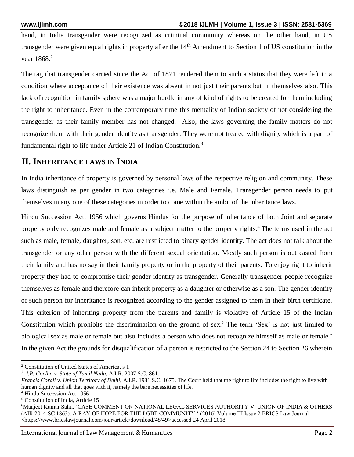hand, in India transgender were recognized as criminal community whereas on the other hand, in US transgender were given equal rights in property after the  $14<sup>th</sup>$  Amendment to Section 1 of US constitution in the vear 1868.<sup>2</sup>

The tag that transgender carried since the Act of 1871 rendered them to such a status that they were left in a condition where acceptance of their existence was absent in not just their parents but in themselves also. This lack of recognition in family sphere was a major hurdle in any of kind of rights to be created for them including the right to inheritance. Even in the contemporary time this mentality of Indian society of not considering the transgender as their family member has not changed. Also, the laws governing the family matters do not recognize them with their gender identity as transgender. They were not treated with dignity which is a part of fundamental right to life under Article 21 of Indian Constitution.<sup>3</sup>

#### **II. INHERITANCE LAWS IN INDIA**

In India inheritance of property is governed by personal laws of the respective religion and community. These laws distinguish as per gender in two categories i.e. Male and Female. Transgender person needs to put themselves in any one of these categories in order to come within the ambit of the inheritance laws.

Hindu Succession Act, 1956 which governs Hindus for the purpose of inheritance of both Joint and separate property only recognizes male and female as a subject matter to the property rights.<sup>4</sup> The terms used in the act such as male, female, daughter, son, etc. are restricted to binary gender identity. The act does not talk about the transgender or any other person with the different sexual orientation. Mostly such person is out casted from their family and has no say in their family property or in the property of their parents. To enjoy right to inherit property they had to compromise their gender identity as transgender. Generally transgender people recognize themselves as female and therefore can inherit property as a daughter or otherwise as a son. The gender identity of such person for inheritance is recognized according to the gender assigned to them in their birth certificate. This criterion of inheriting property from the parents and family is violative of Article 15 of the Indian Constitution which prohibits the discrimination on the ground of sex.<sup>5</sup> The term 'Sex' is not just limited to biological sex as male or female but also includes a person who does not recognize himself as male or female.<sup>6</sup> In the given Act the grounds for disqualification of a person is restricted to the Section 24 to Section 26 wherein

<sup>1</sup> <sup>2</sup> Constitution of United States of America, s 1

*<sup>3</sup> I.R. Coelho v. State of Tamil Nadu,* A.I.R. 2007 S.C. 861.

*Francis Corali v. Union Territory of Delhi*, A.I.R. 1981 S.C. 1675. The Court held that the right to life includes the right to live with human dignity and all that goes with it, namely the bare necessities of life.

<sup>4</sup> Hindu Succession Act 1956

<sup>5</sup> Constitution of India, Article 15

<sup>6</sup>Manjeet Kumar Sahu, 'CASE COMMENT ON NATIONAL LEGAL SERVICES AUTHORITY V. UNION OF INDIA & OTHERS (AIR 2014 SC 1863): A RAY OF HOPE FOR THE LGBT COMMUNITY ' (2016) Volume III Issue 2 BRICS Law Journal <https://www.bricslawjournal.com/jour/article/download/48/49>accessed 24 April 2018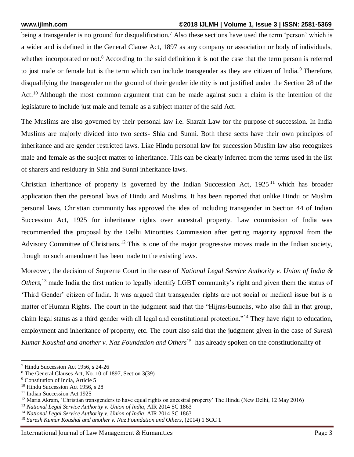being a transgender is no ground for disqualification.<sup>7</sup> Also these sections have used the term 'person' which is a wider and is defined in the General Clause Act, 1897 as any company or association or body of individuals, whether incorporated or not.<sup>8</sup> According to the said definition it is not the case that the term person is referred to just male or female but is the term which can include transgender as they are citizen of India.<sup>9</sup> Therefore, disqualifying the transgender on the ground of their gender identity is not justified under the Section 28 of the Act.<sup>10</sup> Although the most common argument that can be made against such a claim is the intention of the legislature to include just male and female as a subject matter of the said Act.

The Muslims are also governed by their personal law i.e. Sharait Law for the purpose of succession. In India Muslims are majorly divided into two sects- Shia and Sunni. Both these sects have their own principles of inheritance and are gender restricted laws. Like Hindu personal law for succession Muslim law also recognizes male and female as the subject matter to inheritance. This can be clearly inferred from the terms used in the list of sharers and residuary in Shia and Sunni inheritance laws.

Christian inheritance of property is governed by the Indian Succession Act,  $1925<sup>11</sup>$  which has broader application then the personal laws of Hindu and Muslims. It has been reported that unlike Hindu or Muslim personal laws, Christian community has approved the idea of including transgender in Section 44 of Indian Succession Act, 1925 for inheritance rights over ancestral property. Law commission of India was recommended this proposal by the Delhi Minorities Commission after getting majority approval from the Advisory Committee of Christians.<sup>12</sup> This is one of the major progressive moves made in the Indian society, though no such amendment has been made to the existing laws.

Moreover, the decision of Supreme Court in the case of *National Legal Service Authority v. Union of India & Others*, <sup>13</sup> made India the first nation to legally identify LGBT community's right and given them the status of 'Third Gender' citizen of India. It was argued that transgender rights are not social or medical issue but is a matter of Human Rights. The court in the judgment said that the "Hijras/Eunuchs, who also fall in that group, claim legal status as a third gender with all legal and constitutional protection."<sup>14</sup> They have right to education, employment and inheritance of property, etc. The court also said that the judgment given in the case of *Suresh Kumar Koushal and another v. Naz Foundation and Others*<sup>15</sup> has already spoken on the constitutionality of

<sup>1</sup> <sup>7</sup> Hindu Succession Act 1956, s 24-26

<sup>8</sup> The General Clauses Act, No. 10 of 1897, Section 3(39)

<sup>&</sup>lt;sup>9</sup> Constitution of India, Article 5

<sup>&</sup>lt;sup>10</sup> Hindu Succession Act 1956, s 28

<sup>&</sup>lt;sup>11</sup> Indian Succession Act 1925

<sup>&</sup>lt;sup>12</sup> Maria Akram, 'Christian transgenders to have equal rights on ancestral property' The Hindu (New Delhi, 12 May 2016)

<sup>13</sup> *National Legal Service Authority v. Union of India,* AIR 2014 SC 1863

<sup>14</sup> *National Legal Service Authority v. Union of India*, AIR 2014 SC 1863

<sup>15</sup> *Suresh Kumar Koushal and another v. Naz Foundation and Others*, (2014) 1 SCC 1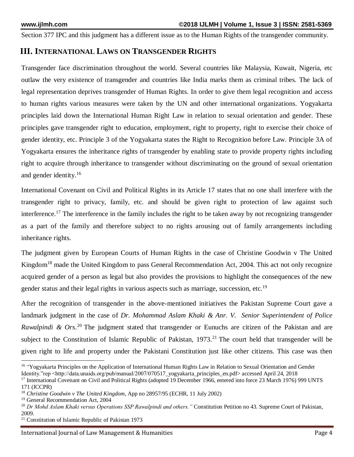Section 377 IPC and this judgment has a different issue as to the Human Rights of the transgender community.

### **III. INTERNATIONAL LAWS ON TRANSGENDER RIGHTS**

Transgender face discrimination throughout the world. Several countries like Malaysia, Kuwait, Nigeria, etc outlaw the very existence of transgender and countries like India marks them as criminal tribes. The lack of legal representation deprives transgender of Human Rights. In order to give them legal recognition and access to human rights various measures were taken by the UN and other international organizations. Yogyakarta principles laid down the International Human Right Law in relation to sexual orientation and gender. These principles gave transgender right to education, employment, right to property, right to exercise their choice of gender identity, etc. Principle 3 of the Yogyakarta states the Right to Recognition before Law. Principle 3A of Yogyakarta ensures the inheritance rights of transgender by enabling state to provide property rights including right to acquire through inheritance to transgender without discriminating on the ground of sexual orientation and gender identity.<sup>16</sup>

International Covenant on Civil and Political Rights in its Article 17 states that no one shall interfere with the transgender right to privacy, family, etc. and should be given right to protection of law against such interference.<sup>17</sup> The interference in the family includes the right to be taken away by not recognizing transgender as a part of the family and therefore subject to no rights arousing out of family arrangements including inheritance rights.

The judgment given by European Courts of Human Rights in the case of Christine Goodwin v The United Kingdom<sup>18</sup> made the United Kingdom to pass General Recommendation Act, 2004. This act not only recognize acquired gender of a person as legal but also provides the provisions to highlight the consequences of the new gender status and their legal rights in various aspects such as marriage, succession, etc.<sup>19</sup>

After the recognition of transgender in the above-mentioned initiatives the Pakistan Supreme Court gave a landmark judgment in the case of *Dr. Mohammad Aslam Khaki & Anr. V. Senior Superintendent of Police Rawalpindi & Ors*. <sup>20</sup> The judgment stated that transgender or Eunuchs are citizen of the Pakistan and are subject to the Constitution of Islamic Republic of Pakistan,  $1973$ <sup>21</sup> The court held that transgender will be given right to life and property under the Pakistani Constitution just like other citizens. This case was then

1

International Journal of Law Management & Humanities **Page 4** and the Page 4

<sup>&</sup>lt;sup>16</sup> "Yogyakarta Principles on the Application of International Human Rights Law in Relation to Sexual Orientation and Gender Identity."rep <http://data.unaids.org/pub/manual/2007/070517\_yogyakarta\_principles\_en.pdf> accessed April 24, 2018

<sup>&</sup>lt;sup>17</sup> International Covenant on Civil and Political Rights (adopted 19 December 1966, entered into force 23 March 1976) 999 UNTS 171 (ICCPR)

<sup>18</sup> *Christine Goodwin v The United Kingdom*, App no 28957/95 (ECHR, 11 July 2002)

<sup>19</sup> General Recommendation Act, 2004

<sup>20</sup> *Dr Mohd Aslam Khaki versus Operations SSP Rawalpindi and others."* Constitution Petition no 43. Supreme Court of Pakistan, 2009.

<sup>21</sup> Constitution of Islamic Republic of Pakistan 1973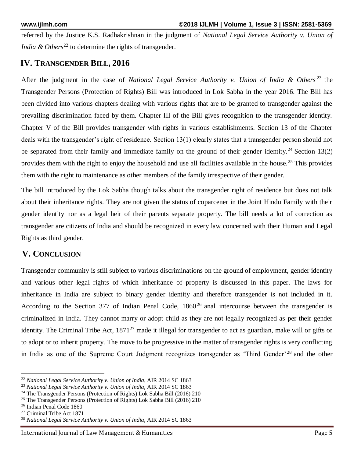referred by the Justice K.S. Radhakrishnan in the judgment of *National Legal Service Authority v. Union of India & Others*<sup>22</sup> to determine the rights of transgender.

### **IV. TRANSGENDER BILL, 2016**

After the judgment in the case of *National Legal Service Authority v. Union of India & Others* <sup>23</sup> the Transgender Persons (Protection of Rights) Bill was introduced in Lok Sabha in the year 2016. The Bill has been divided into various chapters dealing with various rights that are to be granted to transgender against the prevailing discrimination faced by them. Chapter III of the Bill gives recognition to the transgender identity. Chapter V of the Bill provides transgender with rights in various establishments. Section 13 of the Chapter deals with the transgender's right of residence. Section 13(1) clearly states that a transgender person should not be separated from their family and immediate family on the ground of their gender identity.<sup>24</sup> Section 13(2) provides them with the right to enjoy the household and use all facilities available in the house.<sup>25</sup> This provides them with the right to maintenance as other members of the family irrespective of their gender.

The bill introduced by the Lok Sabha though talks about the transgender right of residence but does not talk about their inheritance rights. They are not given the status of coparcener in the Joint Hindu Family with their gender identity nor as a legal heir of their parents separate property. The bill needs a lot of correction as transgender are citizens of India and should be recognized in every law concerned with their Human and Legal Rights as third gender.

#### **V. CONCLUSION**

Transgender community is still subject to various discriminations on the ground of employment, gender identity and various other legal rights of which inheritance of property is discussed in this paper. The laws for inheritance in India are subject to binary gender identity and therefore transgender is not included in it. According to the Section 377 of Indian Penal Code,  $1860^{26}$  anal intercourse between the transgender is criminalized in India. They cannot marry or adopt child as they are not legally recognized as per their gender identity. The Criminal Tribe Act,  $1871^{27}$  made it illegal for transgender to act as guardian, make will or gifts or to adopt or to inherit property. The move to be progressive in the matter of transgender rights is very conflicting in India as one of the Supreme Court Judgment recognizes transgender as 'Third Gender'<sup>28</sup> and the other

**.** 

<sup>22</sup> *National Legal Service Authority v. Union of India*, AIR 2014 SC 1863

<sup>23</sup> *National Legal Service Authority v. Union of India*, AIR 2014 SC 1863

<sup>&</sup>lt;sup>24</sup> The Transgender Persons (Protection of Rights) Lok Sabha Bill (2016) 210

<sup>25</sup> The Transgender Persons (Protection of Rights) Lok Sabha Bill (2016) 210

<sup>26</sup> Indian Penal Code 1860

<sup>27</sup> Criminal Tribe Act 1871

<sup>28</sup> *National Legal Service Authority v. Union of India*, AIR 2014 SC 1863